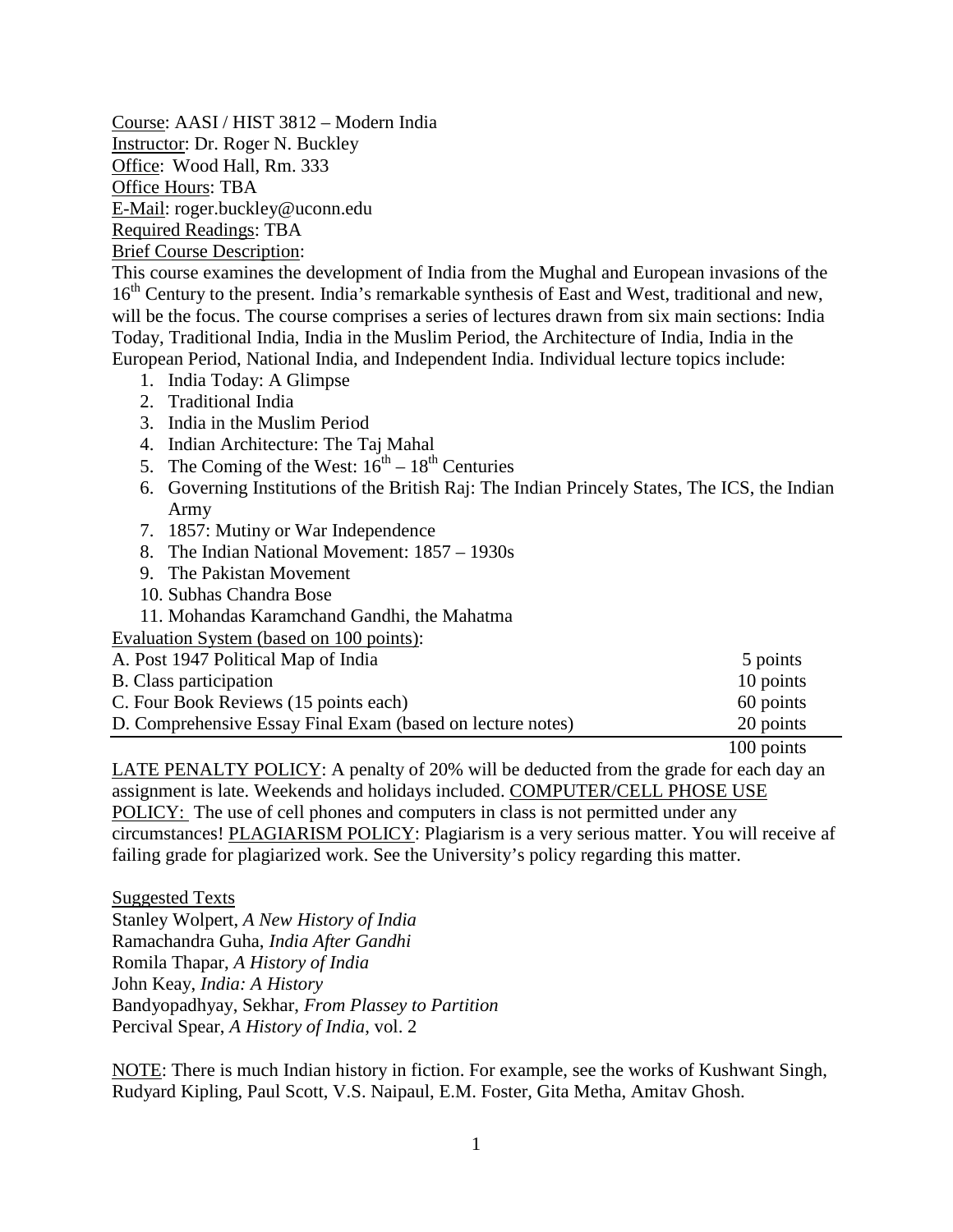Course: AASI / HIST 3812 – Modern India Instructor: Dr. Roger N. Buckley Office: Wood Hall, Rm. 333 Office Hours: TBA E-Mail: roger.buckley@uconn.edu Required Readings: TBA

Brief Course Description:

This course examines the development of India from the Mughal and European invasions of the 16<sup>th</sup> Century to the present. India's remarkable synthesis of East and West, traditional and new, will be the focus. The course comprises a series of lectures drawn from six main sections: India Today, Traditional India, India in the Muslim Period, the Architecture of India, India in the European Period, National India, and Independent India. Individual lecture topics include:

- 1. India Today: A Glimpse
- 2. Traditional India
- 3. India in the Muslim Period
- 4. Indian Architecture: The Taj Mahal
- 5. The Coming of the West:  $16^{th} 18^{th}$  Centuries
- 6. Governing Institutions of the British Raj: The Indian Princely States, The ICS, the Indian Army
- 7. 1857: Mutiny or War Independence
- 8. The Indian National Movement: 1857 1930s
- 9. The Pakistan Movement
- 10. Subhas Chandra Bose
- 11. Mohandas Karamchand Gandhi, the Mahatma

Evaluation System (based on 100 points):

| A. Post 1947 Political Map of India<br>5 points                         |  |
|-------------------------------------------------------------------------|--|
| 10 points<br>B. Class participation                                     |  |
| 60 points<br>C. Four Book Reviews (15 points each)                      |  |
| 20 points<br>D. Comprehensive Essay Final Exam (based on lecture notes) |  |

100 points

LATE PENALTY POLICY: A penalty of 20% will be deducted from the grade for each day an assignment is late. Weekends and holidays included. COMPUTER/CELL PHOSE USE POLICY: The use of cell phones and computers in class is not permitted under any circumstances! PLAGIARISM POLICY: Plagiarism is a very serious matter. You will receive af failing grade for plagiarized work. See the University's policy regarding this matter.

Suggested Texts Stanley Wolpert, *A New History of India* Ramachandra Guha, *India After Gandhi* Romila Thapar, *A History of India* John Keay, *India: A History* Bandyopadhyay, Sekhar, *From Plassey to Partition* Percival Spear, *A History of India*, vol. 2

NOTE: There is much Indian history in fiction. For example, see the works of Kushwant Singh, Rudyard Kipling, Paul Scott, V.S. Naipaul, E.M. Foster, Gita Metha, Amitav Ghosh.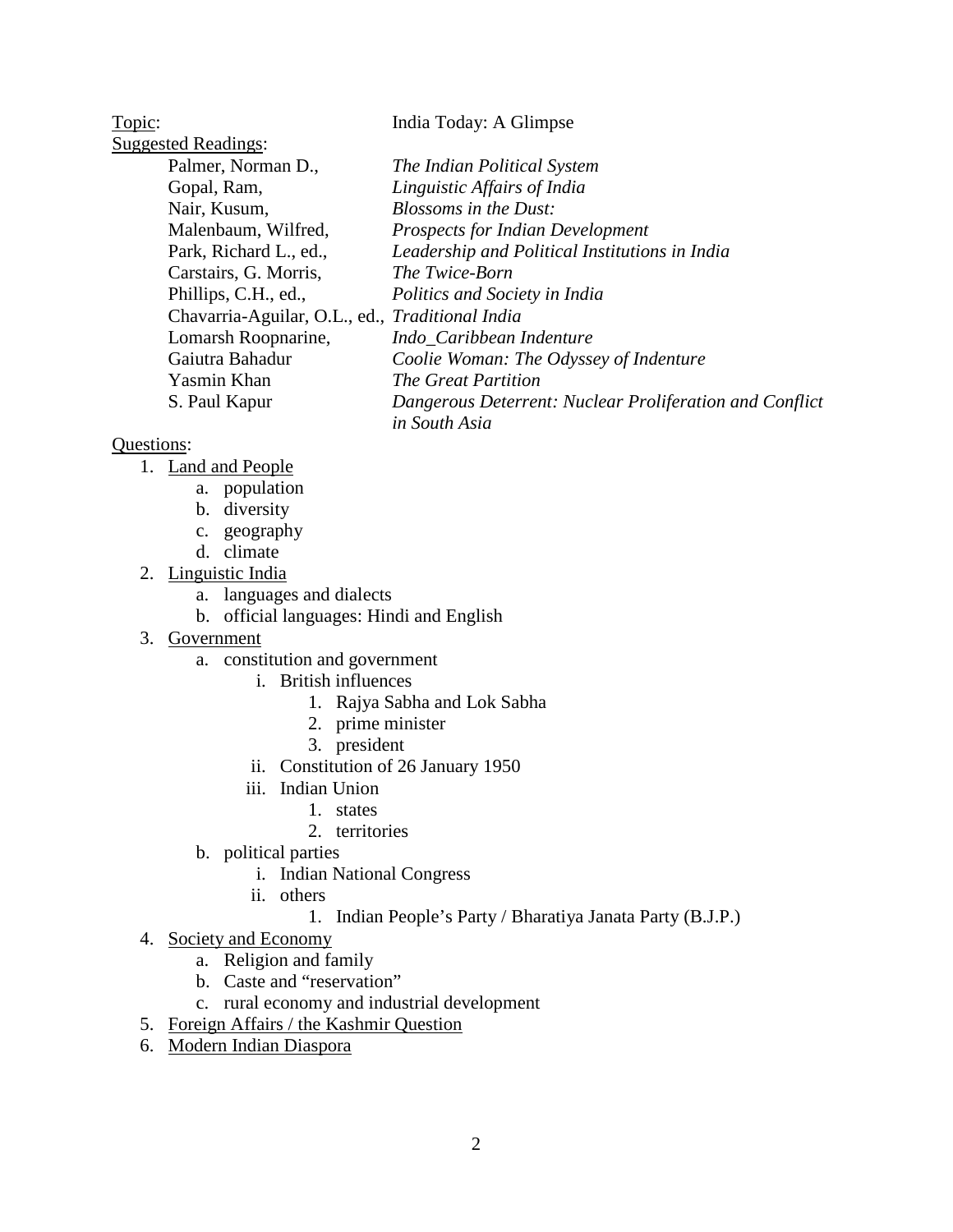Topic: India Today: A Glimpse Suggested Readings: Palmer, Norman D., *The Indian Political System* Gopal, Ram, *Linguistic Affairs of India* Nair, Kusum, *Blossoms in the Dust:* Malenbaum, Wilfred, *Prospects for Indian Development* Park, Richard L., ed., *Leadership and Political Institutions in India* Carstairs, G. Morris, *The Twice-Born* Phillips, C.H., ed., *Politics and Society in India* Chavarria-Aguilar, O.L., ed., *Traditional India* Lomarsh Roopnarine, *Indo\_Caribbean Indenture* Gaiutra Bahadur *Coolie Woman: The Odyssey of Indenture*

Yasmin Khan *The Great Partition* S. Paul Kapur *Dangerous Deterrent: Nuclear Proliferation and Conflict in South Asia*

- 1. Land and People
	- a. population
	- b. diversity
	- c. geography
	- d. climate
- 2. Linguistic India
	- a. languages and dialects
	- b. official languages: Hindi and English
- 3. Government
	- a. constitution and government
		- i. British influences
			- 1. Rajya Sabha and Lok Sabha
			- 2. prime minister
			- 3. president
		- ii. Constitution of 26 January 1950
		- iii. Indian Union
			- 1. states
			- 2. territories
	- b. political parties
		- i. Indian National Congress
		- ii. others
			- 1. Indian People's Party / Bharatiya Janata Party (B.J.P.)
- 4. Society and Economy
	- a. Religion and family
	- b. Caste and "reservation"
	- c. rural economy and industrial development
- 5. Foreign Affairs / the Kashmir Question
- 6. Modern Indian Diaspora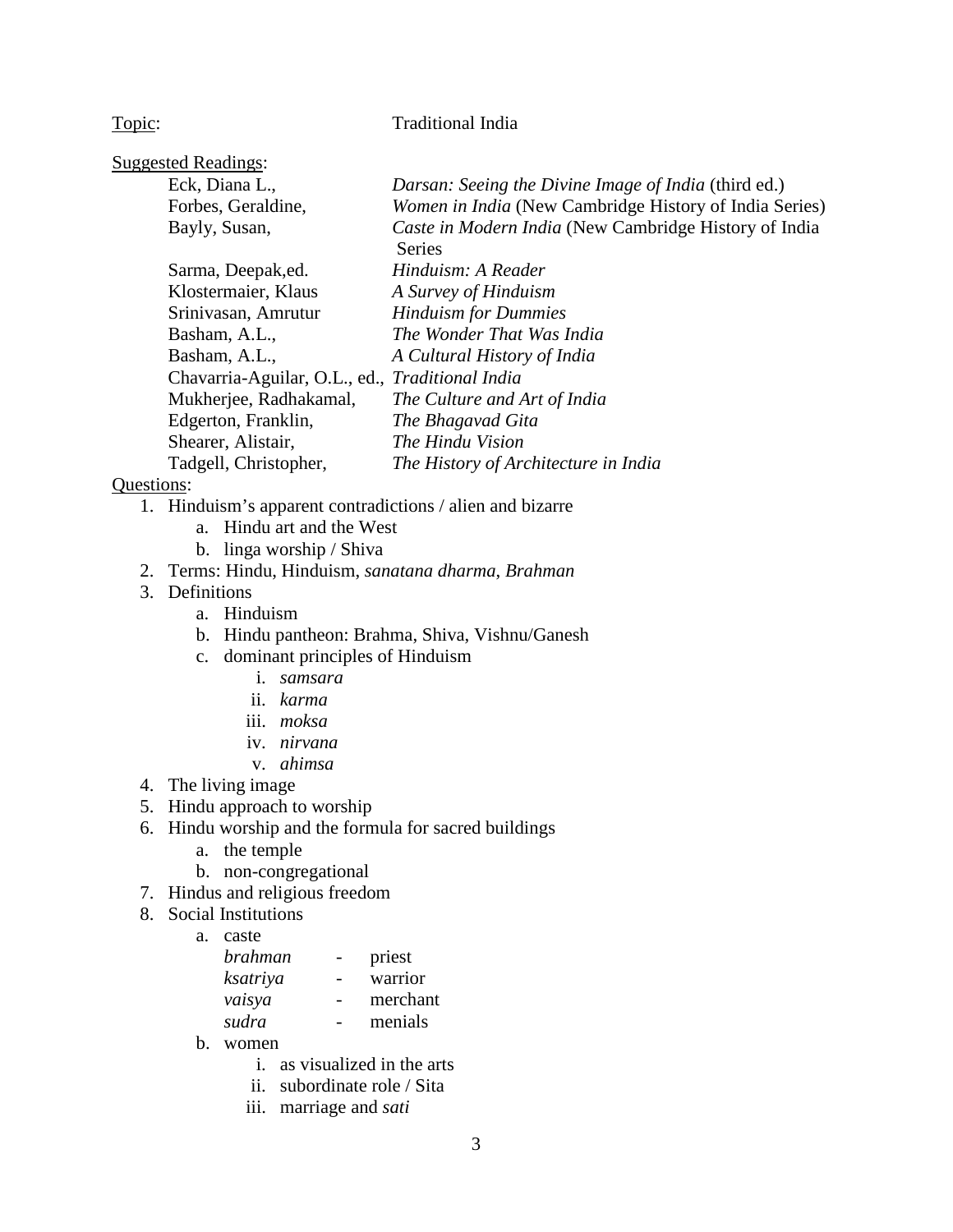## Topic: Traditional India

| <b>Suggested Readings:</b>                      |                                                                        |
|-------------------------------------------------|------------------------------------------------------------------------|
| Eck, Diana L.,                                  | Darsan: Seeing the Divine Image of India (third ed.)                   |
| Forbes, Geraldine,                              | Women in India (New Cambridge History of India Series)                 |
| Bayly, Susan,                                   | Caste in Modern India (New Cambridge History of India<br><b>Series</b> |
|                                                 |                                                                        |
| Sarma, Deepak, ed.                              | Hinduism: A Reader                                                     |
| Klostermaier, Klaus                             | A Survey of Hinduism                                                   |
| Srinivasan, Amrutur                             | <b>Hinduism for Dummies</b>                                            |
| Basham, A.L.,                                   | The Wonder That Was India                                              |
| Basham, A.L.,                                   | A Cultural History of India                                            |
| Chavarria-Aguilar, O.L., ed., Traditional India |                                                                        |
| Mukherjee, Radhakamal,                          | The Culture and Art of India                                           |
| Edgerton, Franklin,                             | The Bhagavad Gita                                                      |
| Shearer, Alistair,                              | The Hindu Vision                                                       |
| Tadgell, Christopher,                           | The History of Architecture in India                                   |

- 1. Hinduism's apparent contradictions / alien and bizarre
	- a. Hindu art and the West
	- b. linga worship / Shiva
- 2. Terms: Hindu, Hinduism, *sanatana dharma*, *Brahman*
- 3. Definitions
	- a. Hinduism
	- b. Hindu pantheon: Brahma, Shiva, Vishnu/Ganesh
	- c. dominant principles of Hinduism
		- i. *samsara*
		- ii. *karma*
		- iii. *moksa*
		- iv. *nirvana*
		- v. *ahimsa*
- 4. The living image
- 5. Hindu approach to worship
- 6. Hindu worship and the formula for sacred buildings
	- a. the temple
	- b. non-congregational
- 7. Hindus and religious freedom
- 8. Social Institutions
	- a. caste

| brahman  | priest   |
|----------|----------|
| ksatriya | warrior  |
| vaisya   | merchant |
| sudra    | menials  |
|          |          |

- b. women
	- i. as visualized in the arts
	- ii. subordinate role / Sita
	- iii. marriage and *sati*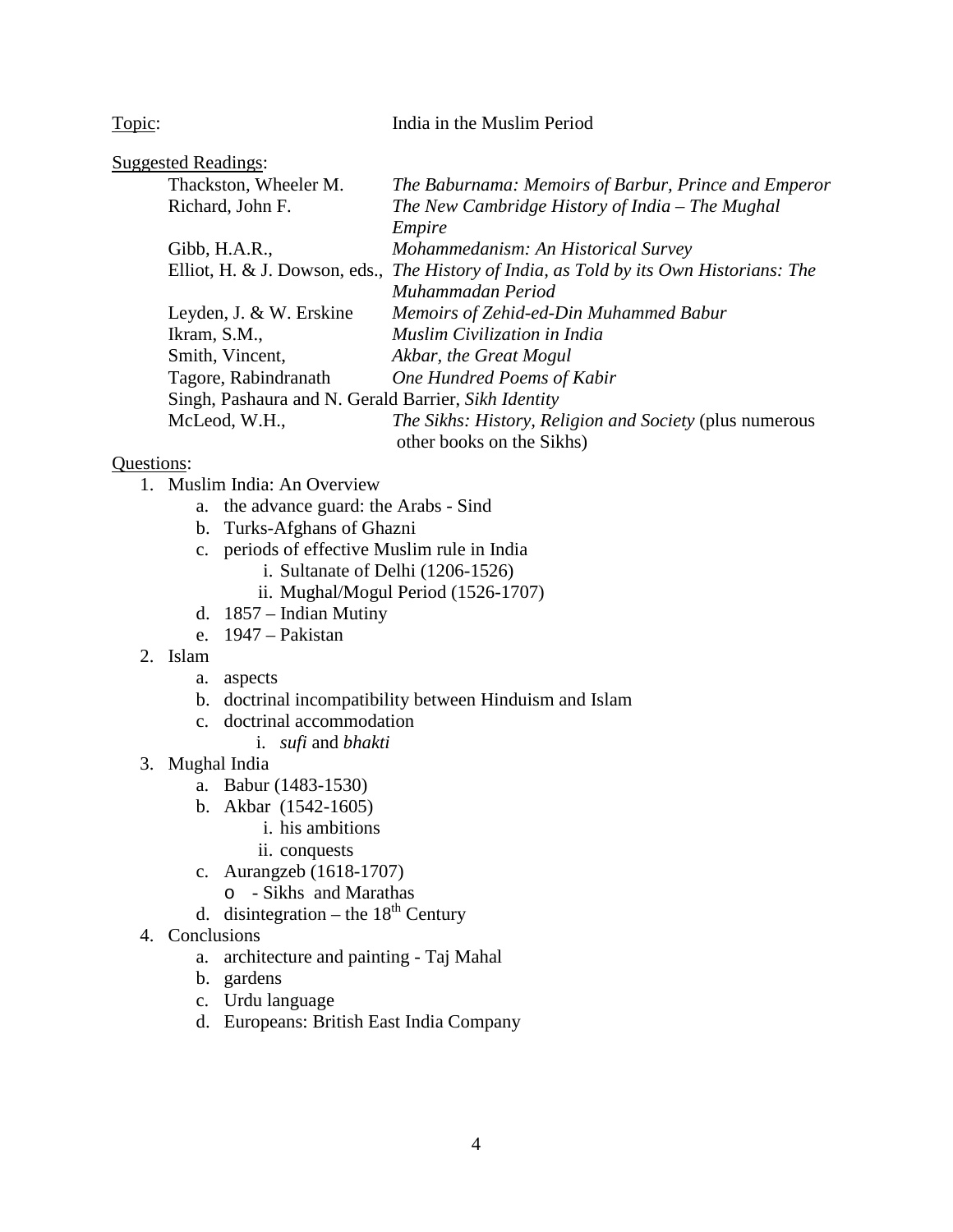### Topic: India in the Muslim Period

| <b>Suggested Readings:</b>                           |                                                                                        |
|------------------------------------------------------|----------------------------------------------------------------------------------------|
| Thackston, Wheeler M.                                | The Baburnama: Memoirs of Barbur, Prince and Emperor                                   |
| Richard, John F.                                     | The New Cambridge History of India - The Mughal                                        |
|                                                      | Empire                                                                                 |
| Gibb, H.A.R.,                                        | Mohammedanism: An Historical Survey                                                    |
|                                                      | Elliot, H. & J. Dowson, eds., The History of India, as Told by its Own Historians: The |
|                                                      | Muhammadan Period                                                                      |
| Leyden, J. & W. Erskine                              | Memoirs of Zehid-ed-Din Muhammed Babur                                                 |
| Ikram, S.M.,                                         | Muslim Civilization in India                                                           |
| Smith, Vincent,                                      | Akbar, the Great Mogul                                                                 |
| Tagore, Rabindranath                                 | One Hundred Poems of Kabir                                                             |
| Singh, Pashaura and N. Gerald Barrier, Sikh Identity |                                                                                        |
| McLeod, W.H.,                                        | <i>The Sikhs: History, Religion and Society (plus numerous</i>                         |
|                                                      | other books on the Sikhs)                                                              |

- 1. Muslim India: An Overview
	- a. the advance guard: the Arabs Sind
	- b. Turks-Afghans of Ghazni
	- c. periods of effective Muslim rule in India
		- i. Sultanate of Delhi (1206-1526)
		- ii. Mughal/Mogul Period (1526-1707)
	- d. 1857 Indian Mutiny
	- e. 1947 Pakistan
- 2. Islam
	- a. aspects
	- b. doctrinal incompatibility between Hinduism and Islam
	- c. doctrinal accommodation
		- i. *sufi* and *bhakti*
- 3. Mughal India
	- a. Babur (1483-1530)
	- b. Akbar (1542-1605)
		- i. his ambitions
		- ii. conquests
	- c. Aurangzeb (1618-1707)
		- o Sikhs and Marathas
	- d. disintegration the  $18<sup>th</sup>$  Century
- 4. Conclusions
	- a. architecture and painting Taj Mahal
	- b. gardens
	- c. Urdu language
	- d. Europeans: British East India Company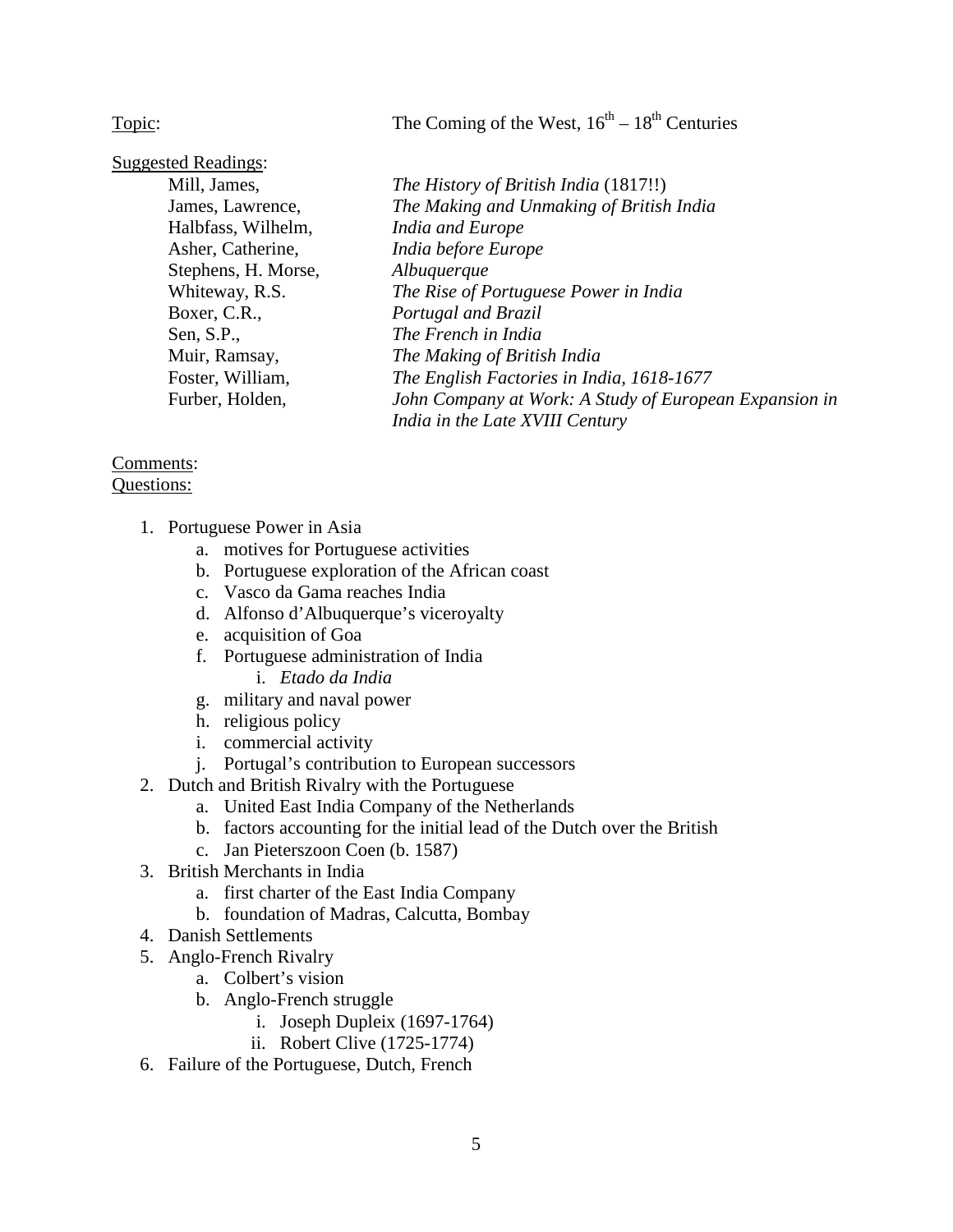Topic: The Coming of the West,  $16<sup>th</sup> - 18<sup>th</sup>$  Centuries

| <b>Suggested Readings:</b> |                                                        |
|----------------------------|--------------------------------------------------------|
| Mill, James,               | The History of British India (1817!!)                  |
| James, Lawrence,           | The Making and Unmaking of British India               |
| Halbfass, Wilhelm,         | India and Europe                                       |
| Asher, Catherine,          | India before Europe                                    |
| Stephens, H. Morse,        | Albuquerque                                            |
| Whiteway, R.S.             | The Rise of Portuguese Power in India                  |
| Boxer, C.R.,               | Portugal and Brazil                                    |
| Sen, $S.P.,$               | The French in India                                    |
| Muir, Ramsay,              | The Making of British India                            |
| Foster, William,           | The English Factories in India, 1618-1677              |
| Furber, Holden,            | John Company at Work: A Study of European Expansion in |
|                            | India in the Late XVIII Century                        |

# Comments:

- 1. Portuguese Power in Asia
	- a. motives for Portuguese activities
	- b. Portuguese exploration of the African coast
	- c. Vasco da Gama reaches India
	- d. Alfonso d'Albuquerque's viceroyalty
	- e. acquisition of Goa
	- f. Portuguese administration of India
		- i. *Etado da India*
	- g. military and naval power
	- h. religious policy
	- i. commercial activity
	- j. Portugal's contribution to European successors
- 2. Dutch and British Rivalry with the Portuguese
	- a. United East India Company of the Netherlands
	- b. factors accounting for the initial lead of the Dutch over the British
	- c. Jan Pieterszoon Coen (b. 1587)
- 3. British Merchants in India
	- a. first charter of the East India Company
	- b. foundation of Madras, Calcutta, Bombay
- 4. Danish Settlements
- 5. Anglo-French Rivalry
	- a. Colbert's vision
	- b. Anglo-French struggle
		- i. Joseph Dupleix (1697-1764)
		- ii. Robert Clive (1725-1774)
- 6. Failure of the Portuguese, Dutch, French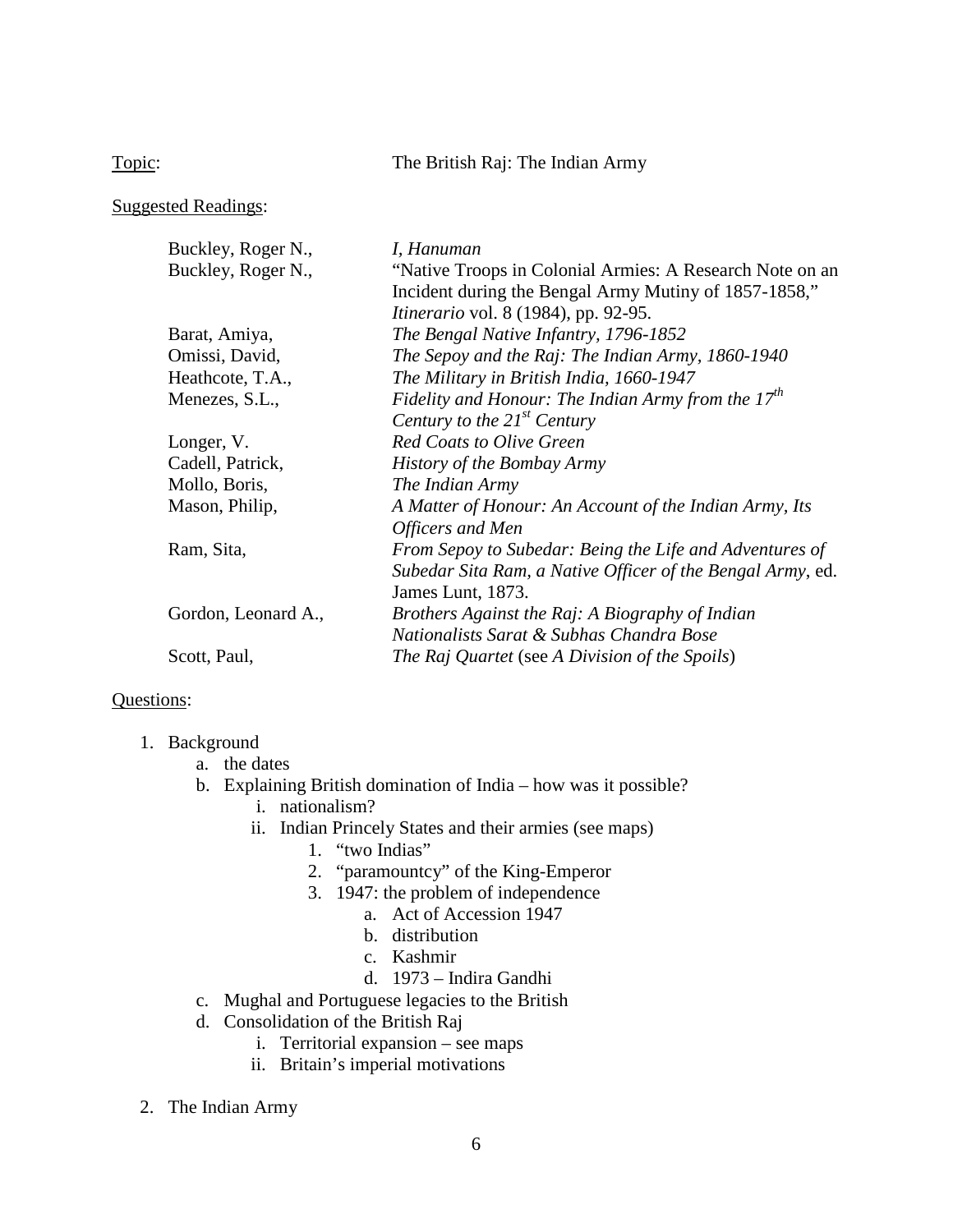Topic: The British Raj: The Indian Army

Suggested Readings:

| Buckley, Roger N.,  | I, Hanuman                                                 |
|---------------------|------------------------------------------------------------|
| Buckley, Roger N.,  | "Native Troops in Colonial Armies: A Research Note on an   |
|                     | Incident during the Bengal Army Mutiny of 1857-1858,"      |
|                     | <i>Itinerario</i> vol. 8 (1984), pp. 92-95.                |
| Barat, Amiya,       | The Bengal Native Infantry, 1796-1852                      |
| Omissi, David,      | The Sepoy and the Raj: The Indian Army, 1860-1940          |
| Heathcote, T.A.,    | The Military in British India, 1660-1947                   |
| Menezes, S.L.,      | Fidelity and Honour: The Indian Army from the $17th$       |
|                     | Century to the $21^{st}$ Century                           |
| Longer, V.          | <b>Red Coats to Olive Green</b>                            |
| Cadell, Patrick,    | History of the Bombay Army                                 |
| Mollo, Boris,       | The Indian Army                                            |
| Mason, Philip,      | A Matter of Honour: An Account of the Indian Army, Its     |
|                     | Officers and Men                                           |
| Ram, Sita,          | From Sepoy to Subedar: Being the Life and Adventures of    |
|                     | Subedar Sita Ram, a Native Officer of the Bengal Army, ed. |
|                     | James Lunt, 1873.                                          |
| Gordon, Leonard A., | Brothers Against the Raj: A Biography of Indian            |
|                     | Nationalists Sarat & Subhas Chandra Bose                   |
| Scott, Paul,        | The Raj Quartet (see A Division of the Spoils)             |

- 1. Background
	- a. the dates
	- b. Explaining British domination of India how was it possible?
		- i. nationalism?
		- ii. Indian Princely States and their armies (see maps)
			- 1. "two Indias"
			- 2. "paramountcy" of the King-Emperor
			- 3. 1947: the problem of independence
				- a. Act of Accession 1947
				- b. distribution
				- c. Kashmir
				- d. 1973 Indira Gandhi
	- c. Mughal and Portuguese legacies to the British
	- d. Consolidation of the British Raj
		- i. Territorial expansion see maps
		- ii. Britain's imperial motivations
- 2. The Indian Army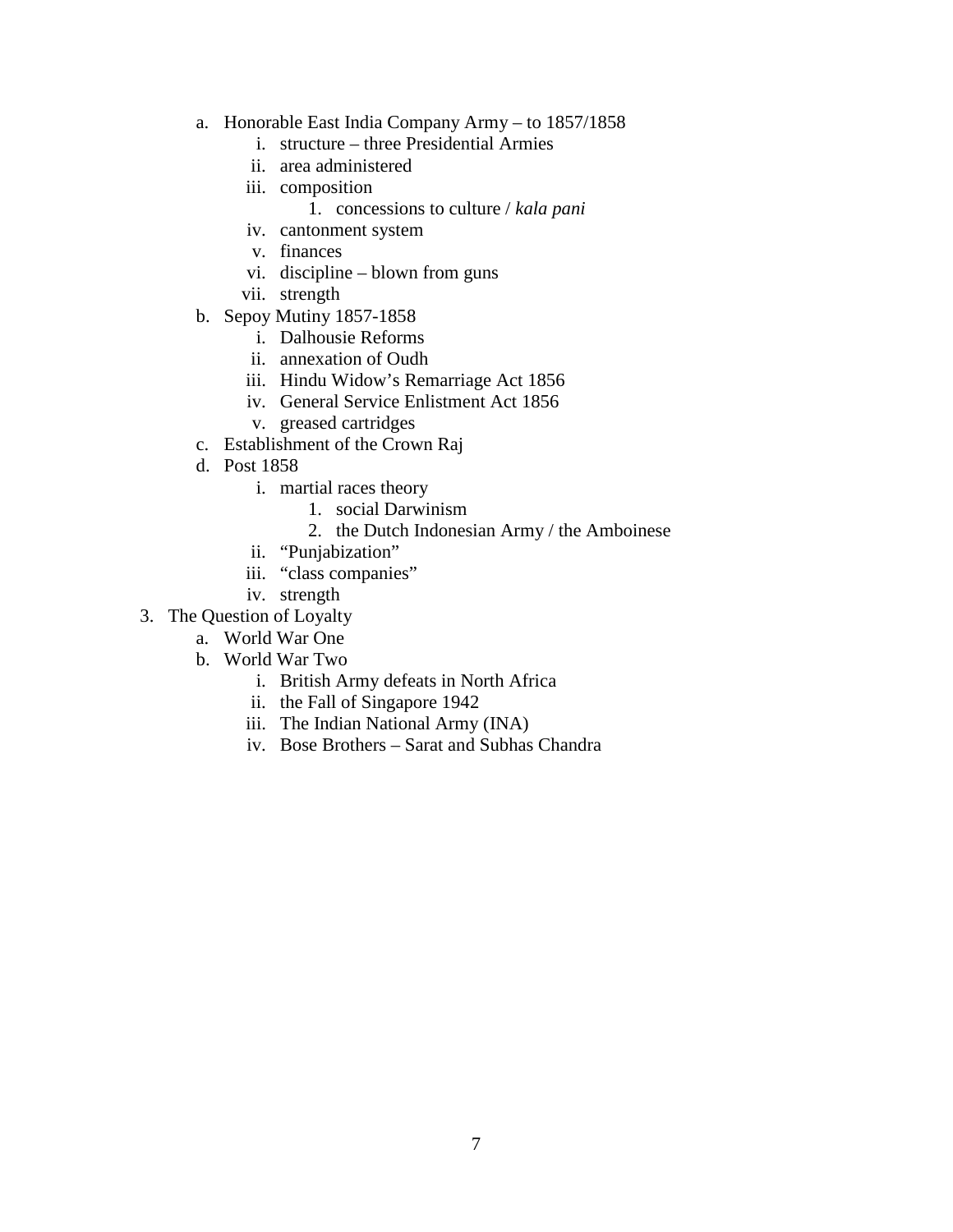- a. Honorable East India Company Army to 1857/1858
	- i. structure three Presidential Armies
	- ii. area administered
	- iii. composition
		- 1. concessions to culture / *kala pani*
	- iv. cantonment system
	- v. finances
	- vi. discipline blown from guns
	- vii. strength
- b. Sepoy Mutiny 1857-1858
	- i. Dalhousie Reforms
	- ii. annexation of Oudh
	- iii. Hindu Widow's Remarriage Act 1856
	- iv. General Service Enlistment Act 1856
	- v. greased cartridges
- c. Establishment of the Crown Raj
- d. Post 1858
	- i. martial races theory
		- 1. social Darwinism
		- 2. the Dutch Indonesian Army / the Amboinese
	- ii. "Punjabization"
	- iii. "class companies"
	- iv. strength
- 3. The Question of Loyalty
	- a. World War One
	- b. World War Two
		- i. British Army defeats in North Africa
		- ii. the Fall of Singapore 1942
		- iii. The Indian National Army (INA)
		- iv. Bose Brothers Sarat and Subhas Chandra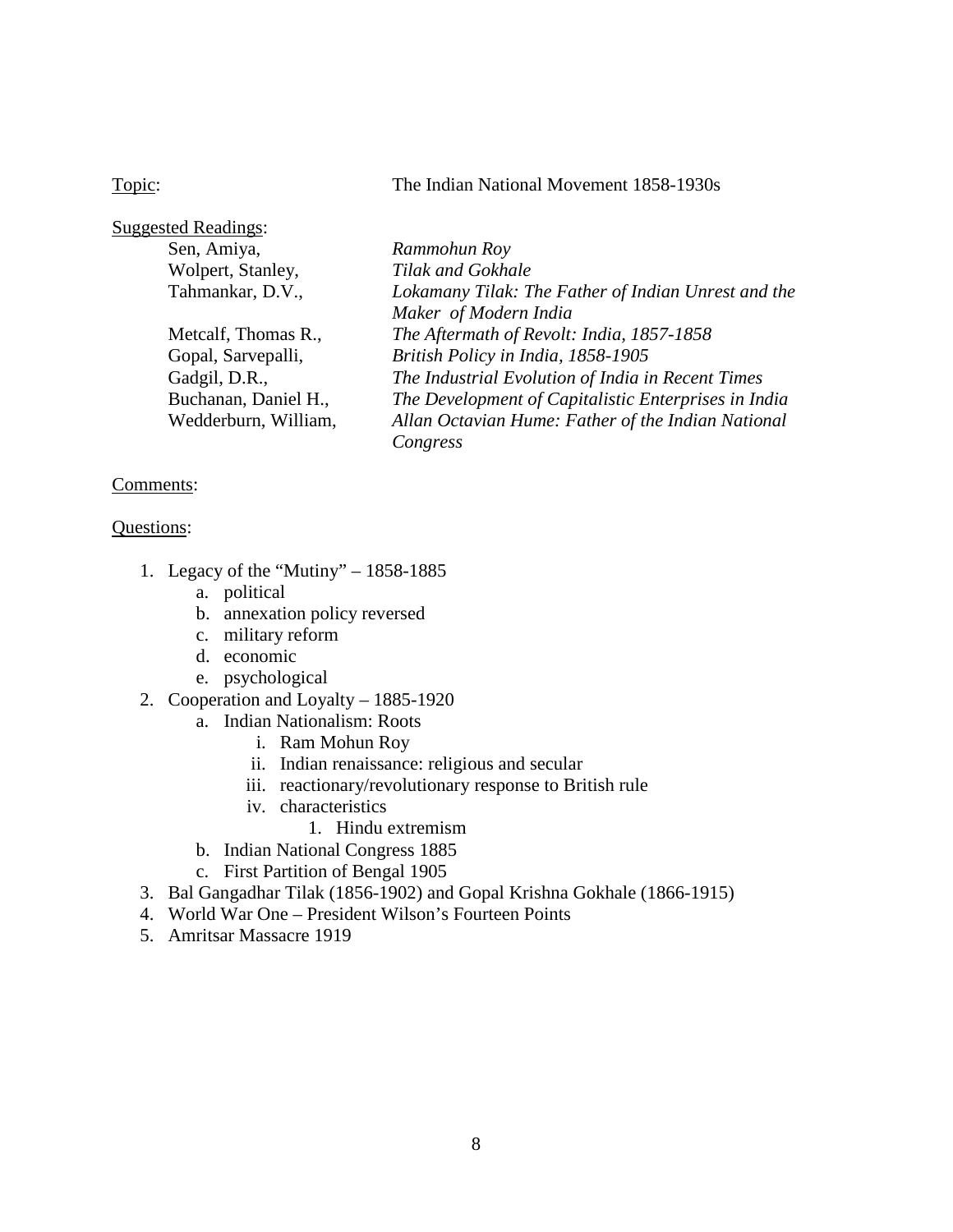### Topic: The Indian National Movement 1858-1930s

| <b>Suggested Readings:</b> |                                                      |
|----------------------------|------------------------------------------------------|
| Sen, Amiya,                | Rammohun Roy                                         |
| Wolpert, Stanley,          | Tilak and Gokhale                                    |
| Tahmankar, D.V.,           | Lokamany Tilak: The Father of Indian Unrest and the  |
|                            | Maker of Modern India                                |
| Metcalf, Thomas R.,        | The Aftermath of Revolt: India, 1857-1858            |
| Gopal, Sarvepalli,         | British Policy in India, 1858-1905                   |
| Gadgil, D.R.,              | The Industrial Evolution of India in Recent Times    |
| Buchanan, Daniel H.,       | The Development of Capitalistic Enterprises in India |
| Wedderburn, William,       | Allan Octavian Hume: Father of the Indian National   |
|                            | Congress                                             |

#### Comments:

- 1. Legacy of the "Mutiny" 1858-1885
	- a. political
	- b. annexation policy reversed
	- c. military reform
	- d. economic
	- e. psychological
- 2. Cooperation and Loyalty 1885-1920
	- a. Indian Nationalism: Roots
		- i. Ram Mohun Roy
		- ii. Indian renaissance: religious and secular
		- iii. reactionary/revolutionary response to British rule
		- iv. characteristics
			- 1. Hindu extremism
	- b. Indian National Congress 1885
	- c. First Partition of Bengal 1905
- 3. Bal Gangadhar Tilak (1856-1902) and Gopal Krishna Gokhale (1866-1915)
- 4. World War One President Wilson's Fourteen Points
- 5. Amritsar Massacre 1919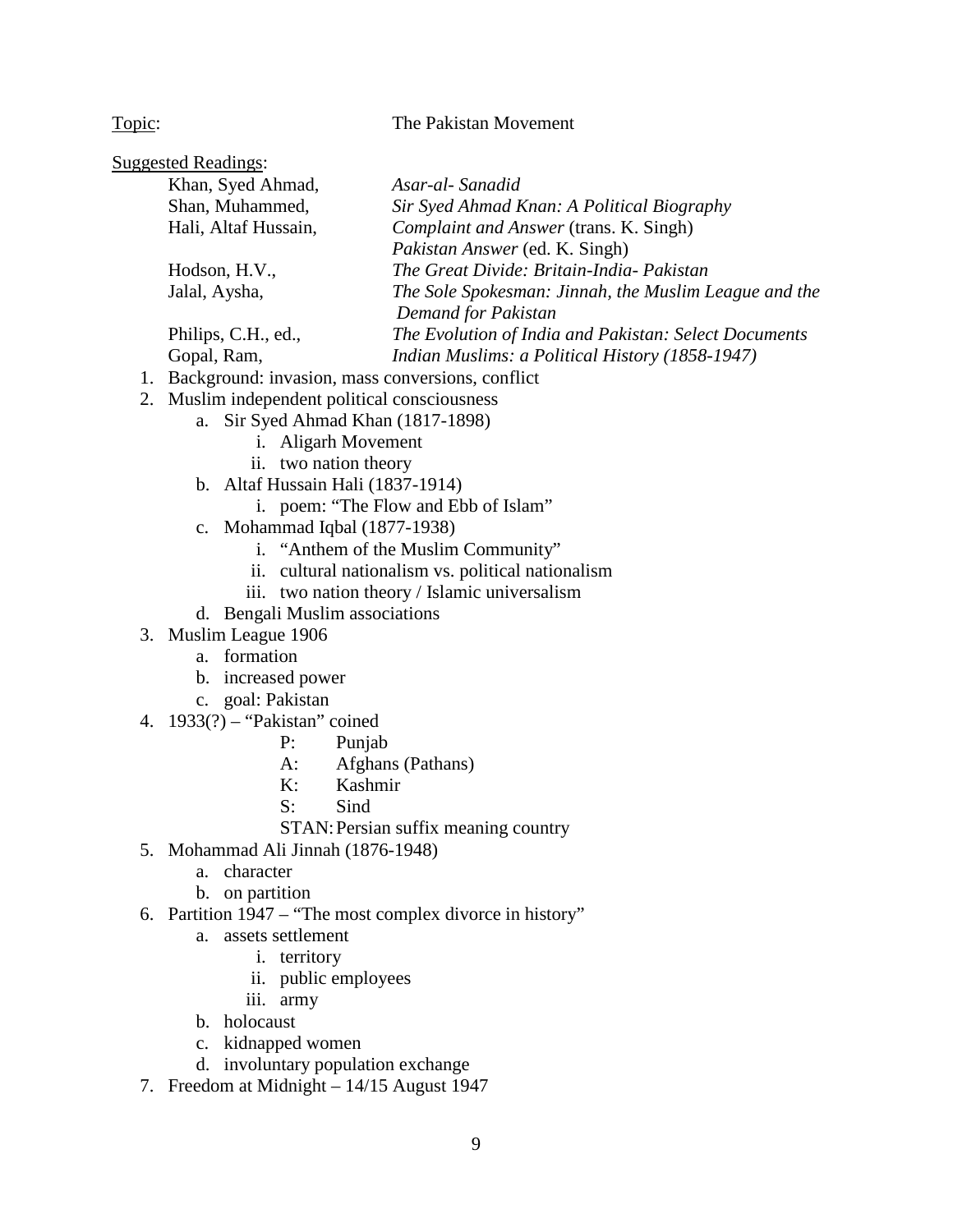Topic: The Pakistan Movement

| <b>Suggested Readings:</b>  |                                                       |
|-----------------------------|-------------------------------------------------------|
| Khan, Syed Ahmad,           | Asar-al-Sanadid                                       |
| Shan, Muhammed,             | Sir Syed Ahmad Knan: A Political Biography            |
| Hali, Altaf Hussain,        | Complaint and Answer (trans. K. Singh)                |
|                             | Pakistan Answer (ed. K. Singh)                        |
| Hodson, H.V.,               | The Great Divide: Britain-India- Pakistan             |
| Jalal, Aysha,               | The Sole Spokesman: Jinnah, the Muslim League and the |
|                             | Demand for Pakistan                                   |
| Philips, C.H., ed.,         | The Evolution of India and Pakistan: Select Documents |
| Gopal, Ram,                 | Indian Muslims: a Political History (1858-1947)       |
| $1 \quad 1 \quad 1 \quad 1$ |                                                       |

- 1. Background: invasion, mass conversions, conflict 2. Muslim independent political consciousness
	- a. Sir Syed Ahmad Khan (1817-1898)
		- i. Aligarh Movement
		- ii. two nation theory
		- b. Altaf Hussain Hali (1837-1914)
			- i. poem: "The Flow and Ebb of Islam"
		- c. Mohammad Iqbal (1877-1938)
			- i. "Anthem of the Muslim Community"
			- ii. cultural nationalism vs. political nationalism
			- iii. two nation theory / Islamic universalism
		- d. Bengali Muslim associations
- 3. Muslim League 1906
	- a. formation
	- b. increased power
	- c. goal: Pakistan
- 4. 1933(?) "Pakistan" coined
	- P: Punjab
	- A: Afghans (Pathans)
	- K: Kashmir
	- S: Sind
	- STAN: Persian suffix meaning country
- 5. Mohammad Ali Jinnah (1876-1948)
	- a. character
	- b. on partition
- 6. Partition 1947 "The most complex divorce in history"
	- a. assets settlement
		- i. territory
		- ii. public employees
		- iii. army
	- b. holocaust
	- c. kidnapped women
	- d. involuntary population exchange
- 7. Freedom at Midnight 14/15 August 1947